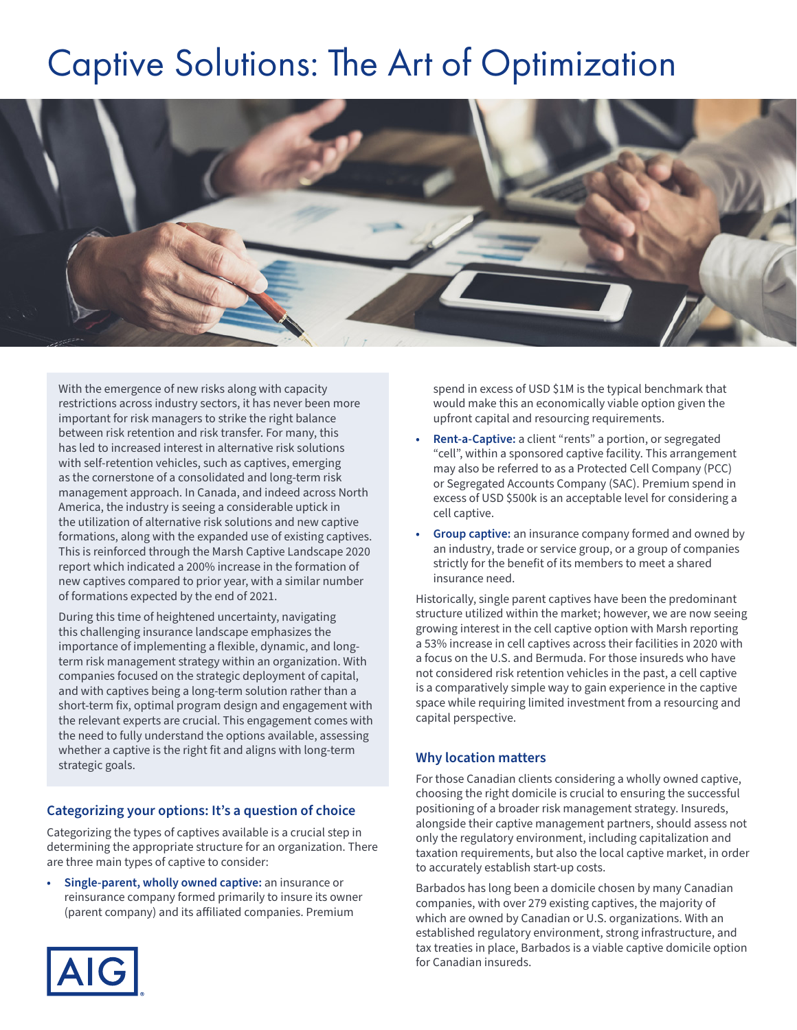# Captive Solutions: The Art of Optimization



With the emergence of new risks along with capacity restrictions across industry sectors, it has never been more important for risk managers to strike the right balance between risk retention and risk transfer. For many, this has led to increased interest in alternative risk solutions with self-retention vehicles, such as captives, emerging as the cornerstone of a consolidated and long-term risk management approach. In Canada, and indeed across North America, the industry is seeing a considerable uptick in the utilization of alternative risk solutions and new captive formations, along with the expanded use of existing captives. This is reinforced through the Marsh Captive Landscape 2020 report which indicated a 200% increase in the formation of new captives compared to prior year, with a similar number of formations expected by the end of 2021.

During this time of heightened uncertainty, navigating this challenging insurance landscape emphasizes the importance of implementing a flexible, dynamic, and longterm risk management strategy within an organization. With companies focused on the strategic deployment of capital, and with captives being a long-term solution rather than a short-term fix, optimal program design and engagement with the relevant experts are crucial. This engagement comes with the need to fully understand the options available, assessing whether a captive is the right fit and aligns with long-term strategic goals.

### **Categorizing your options: It's a question of choice**

Categorizing the types of captives available is a crucial step in determining the appropriate structure for an organization. There are three main types of captive to consider:

**• Single-parent, wholly owned captive:** an insurance or reinsurance company formed primarily to insure its owner (parent company) and its affiliated companies. Premium



spend in excess of USD \$1M is the typical benchmark that would make this an economically viable option given the upfront capital and resourcing requirements.

- **• Rent-a-Captive:** a client "rents" a portion, or segregated "cell", within a sponsored captive facility. This arrangement may also be referred to as a Protected Cell Company (PCC) or Segregated Accounts Company (SAC). Premium spend in excess of USD \$500k is an acceptable level for considering a cell captive.
- **• Group captive:** an insurance company formed and owned by an industry, trade or service group, or a group of companies strictly for the benefit of its members to meet a shared insurance need.

Historically, single parent captives have been the predominant structure utilized within the market; however, we are now seeing growing interest in the cell captive option with Marsh reporting a 53% increase in cell captives across their facilities in 2020 with a focus on the U.S. and Bermuda. For those insureds who have not considered risk retention vehicles in the past, a cell captive is a comparatively simple way to gain experience in the captive space while requiring limited investment from a resourcing and capital perspective.

#### **Why location matters**

For those Canadian clients considering a wholly owned captive, choosing the right domicile is crucial to ensuring the successful positioning of a broader risk management strategy. Insureds, alongside their captive management partners, should assess not only the regulatory environment, including capitalization and taxation requirements, but also the local captive market, in order to accurately establish start-up costs.

Barbados has long been a domicile chosen by many Canadian companies, with over 279 existing captives, the majority of which are owned by Canadian or U.S. organizations. With an established regulatory environment, strong infrastructure, and tax treaties in place, Barbados is a viable captive domicile option for Canadian insureds.